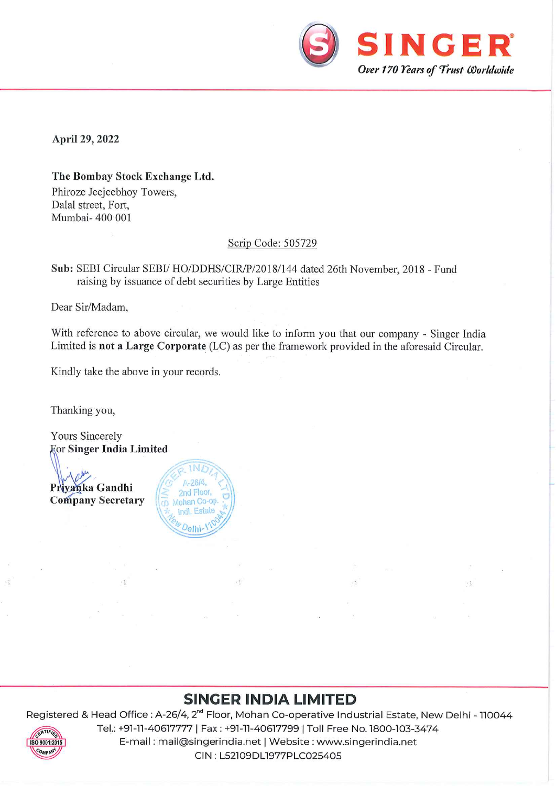

April 29, 2022

The Bombay Stock Exchange Ltd. Phiroze Jeejeebhoy Towers, Dalal street, Fort, Mumbai- 400 001

 $\mathcal{C}_k$ 

## Scrip Code: 505729

Sub: SEBI Circular SEBI/ HO/DDHS/CIR/P/2018/144 dated 26th November, 2018 - Fund raising by issuance of debt securities by Large Entities

Dear Sir/Madam,

With reference to above circular, we would like to inform you that our company - Singer India Limited is not a Large Corporate  $(LC)$  as per the framework provided in the aforesaid Circular.

Kindly take the above in your records.

Thanking you,

Yours Sincerely *<u>For Singer India Limited</u>* 

 $\Pr{\text{y} \text{a} \text{h} \text{ka} \text{ Gand} \text{hi}} \quad \left| \begin{array}{cc} \text{a} & \text{a} \text{b} \text{c} \text{b} \text{e}, \\ \text{c} & \text{b} \text{c} \text{d} \text{b} \text{c} \text{d} \text{c} \end{array} \right|$ Company Secretary **of Mohan Co-op.** 



## and the contract of the contract of the contract of the contract of the contract of the contract of the contract of the contract of the contract of the contract of the contract of the contract of the contract of the contra SINGER INDIA LIMITED

Registered & Head Office : A-26/4, 2<sup>nd</sup> Floor, Mohan Co-operative Industrial Estate, New Delhi - 110044



E-mail : mail@singerindia.net | Website : www.singerindia.net<br>E-mail : mail@singerindia.net | Website : www.singerindia.net<br>CIN : L52109DL1977PLC025405 Tel.: +91-11-40617777| Fax : +91-11-40617799| Toll Free No. 1800-103-3474 CIN : L52109DL1977PLC025405

 $\sqrt{\frac{2}{3}}$ 

雪